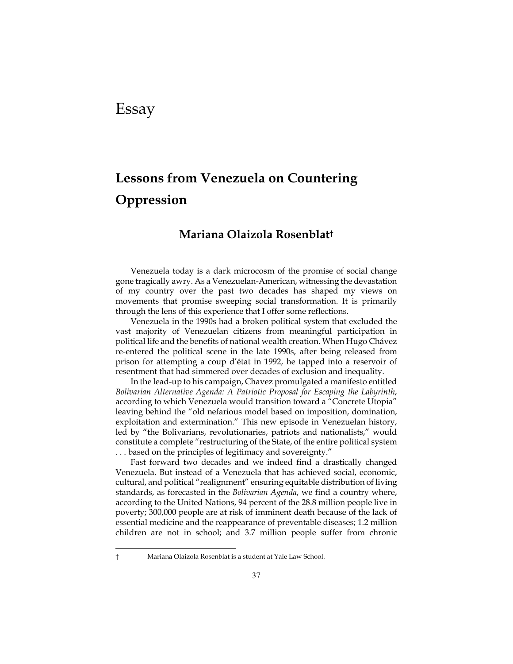## Essay

 $\overline{a}$ 

# **Lessons from Venezuela on Countering Oppression**

### **Mariana Olaizola Rosenblat†**

Venezuela today is a dark microcosm of the promise of social change gone tragically awry. As a Venezuelan-American, witnessing the devastation of my country over the past two decades has shaped my views on movements that promise sweeping social transformation. It is primarily through the lens of this experience that I offer some reflections.

Venezuela in the 1990s had a broken political system that excluded the vast majority of Venezuelan citizens from meaningful participation in political life and the benefits of national wealth creation. When Hugo Chávez re-entered the political scene in the late 1990s, after being released from prison for attempting a coup d'état in 1992, he tapped into a reservoir of resentment that had simmered over decades of exclusion and inequality.

In the lead-up to his campaign, Chavez promulgated a manifesto entitled *Bolivarian Alternative Agenda: A Patriotic Proposal for Escaping the Labyrinth*, according to which Venezuela would transition toward a "Concrete Utopia" leaving behind the "old nefarious model based on imposition, domination, exploitation and extermination." This new episode in Venezuelan history, led by "the Bolivarians, revolutionaries, patriots and nationalists," would constitute a complete "restructuring of the State, of the entire political system . . . based on the principles of legitimacy and sovereignty."

Fast forward two decades and we indeed find a drastically changed Venezuela. But instead of a Venezuela that has achieved social, economic, cultural, and political "realignment" ensuring equitable distribution of living standards, as forecasted in the *Bolivarian Agenda*, we find a country where, according to the United Nations, 94 percent of the 28.8 million people live in poverty; 300,000 people are at risk of imminent death because of the lack of essential medicine and the reappearance of preventable diseases; 1.2 million children are not in school; and 3.7 million people suffer from chronic

<sup>†</sup> Mariana Olaizola Rosenblat is a student at Yale Law School.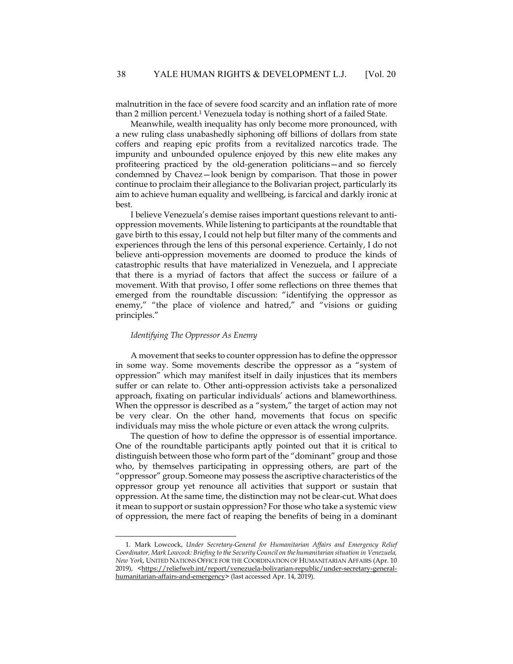malnutrition in the face of severe food scarcity and an inflation rate of more than 2 million percent.1 Venezuela today is nothing short of a failed State.

Meanwhile, wealth inequality has only become more pronounced, with a new ruling class unabashedly siphoning off billions of dollars from state coffers and reaping epic profits from a revitalized narcotics trade. The impunity and unbounded opulence enjoyed by this new elite makes any profiteering practiced by the old-generation politicians—and so fiercely condemned by Chavez—look benign by comparison. That those in power continue to proclaim their allegiance to the Bolivarian project, particularly its aim to achieve human equality and wellbeing, is farcical and darkly ironic at best.

I believe Venezuela's demise raises important questions relevant to antioppression movements. While listening to participants at the roundtable that gave birth to this essay, I could not help but filter many of the comments and experiences through the lens of this personal experience. Certainly, I do not believe anti-oppression movements are doomed to produce the kinds of catastrophic results that have materialized in Venezuela, and I appreciate that there is a myriad of factors that affect the success or failure of a movement. With that proviso, I offer some reflections on three themes that emerged from the roundtable discussion: "identifying the oppressor as enemy," "the place of violence and hatred," and "visions or guiding principles."

#### *Identifying The Oppressor As Enemy*

1

A movement that seeks to counter oppression has to define the oppressor in some way. Some movements describe the oppressor as a "system of oppression" which may manifest itself in daily injustices that its members suffer or can relate to. Other anti-oppression activists take a personalized approach, fixating on particular individuals' actions and blameworthiness. When the oppressor is described as a "system," the target of action may not be very clear. On the other hand, movements that focus on specific individuals may miss the whole picture or even attack the wrong culprits.

The question of how to define the oppressor is of essential importance. One of the roundtable participants aptly pointed out that it is critical to distinguish between those who form part of the "dominant" group and those who, by themselves participating in oppressing others, are part of the "oppressor" group. Someone may possess the ascriptive characteristics of the oppressor group yet renounce all activities that support or sustain that oppression. At the same time, the distinction may not be clear-cut. What does it mean to support or sustain oppression? For those who take a systemic view of oppression, the mere fact of reaping the benefits of being in a dominant

<sup>1.</sup> Mark Lowcock, *Under Secretary-General for Humanitarian Affairs and Emergency Relief Coordinator, Mark Lowcock: Briefing to the Security Council on the humanitarian situation in Venezuela, New York*, UNITED NATIONS OFFICE FOR THE COORDINATION OF HUMANITARIAN AFFAIRS (Apr. 10 2019), <https://reliefweb.int/report/venezuela-bolivarian-republic/under-secretary-generalhumanitarian-affairs-and-emergency> (last accessed Apr. 14, 2019).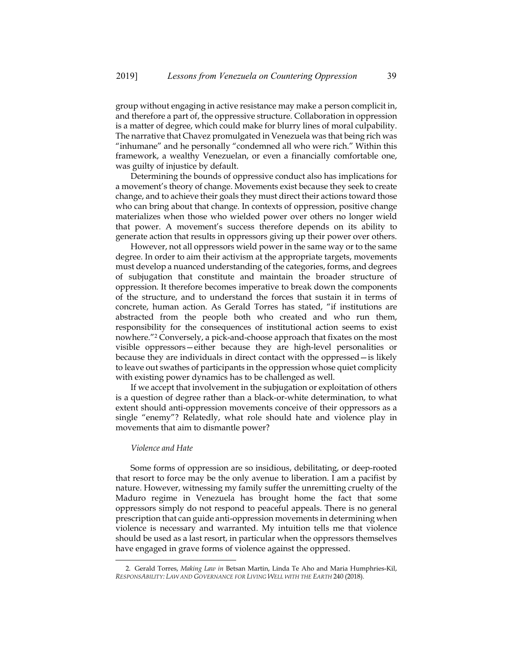group without engaging in active resistance may make a person complicit in, and therefore a part of, the oppressive structure. Collaboration in oppression is a matter of degree, which could make for blurry lines of moral culpability. The narrative that Chavez promulgated in Venezuela was that being rich was "inhumane" and he personally "condemned all who were rich." Within this framework, a wealthy Venezuelan, or even a financially comfortable one, was guilty of injustice by default.

Determining the bounds of oppressive conduct also has implications for a movement's theory of change. Movements exist because they seek to create change, and to achieve their goals they must direct their actions toward those who can bring about that change. In contexts of oppression, positive change materializes when those who wielded power over others no longer wield that power. A movement's success therefore depends on its ability to generate action that results in oppressors giving up their power over others.

However, not all oppressors wield power in the same way or to the same degree. In order to aim their activism at the appropriate targets, movements must develop a nuanced understanding of the categories, forms, and degrees of subjugation that constitute and maintain the broader structure of oppression. It therefore becomes imperative to break down the components of the structure, and to understand the forces that sustain it in terms of concrete, human action. As Gerald Torres has stated, "if institutions are abstracted from the people both who created and who run them, responsibility for the consequences of institutional action seems to exist nowhere."2 Conversely, a pick-and-choose approach that fixates on the most visible oppressors—either because they are high-level personalities or because they are individuals in direct contact with the oppressed—is likely to leave out swathes of participants in the oppression whose quiet complicity with existing power dynamics has to be challenged as well.

If we accept that involvement in the subjugation or exploitation of others is a question of degree rather than a black-or-white determination, to what extent should anti-oppression movements conceive of their oppressors as a single "enemy"? Relatedly, what role should hate and violence play in movements that aim to dismantle power?

#### *Violence and Hate*

1

Some forms of oppression are so insidious, debilitating, or deep-rooted that resort to force may be the only avenue to liberation. I am a pacifist by nature. However, witnessing my family suffer the unremitting cruelty of the Maduro regime in Venezuela has brought home the fact that some oppressors simply do not respond to peaceful appeals. There is no general prescription that can guide anti-oppression movements in determining when violence is necessary and warranted. My intuition tells me that violence should be used as a last resort, in particular when the oppressors themselves have engaged in grave forms of violence against the oppressed.

<sup>2.</sup> Gerald Torres, *Making Law in* Betsan Martin, Linda Te Aho and Maria Humphries-Kil, *RESPONSABILITY: LAW AND GOVERNANCE FOR LIVING WELL WITH THE EARTH* 240 (2018).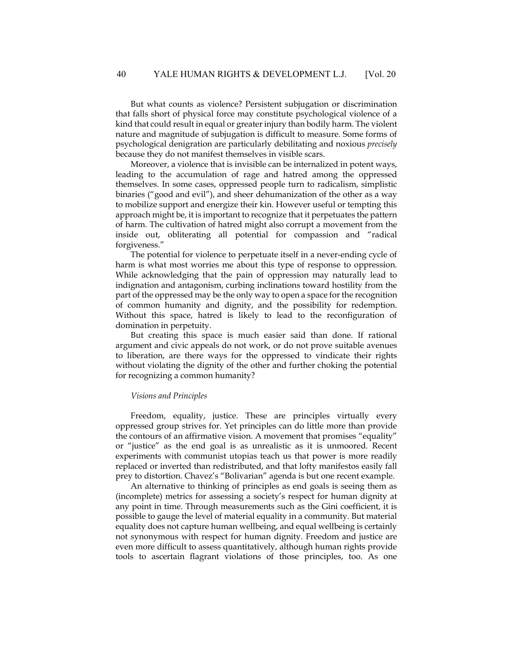But what counts as violence? Persistent subjugation or discrimination that falls short of physical force may constitute psychological violence of a kind that could result in equal or greater injury than bodily harm. The violent nature and magnitude of subjugation is difficult to measure. Some forms of psychological denigration are particularly debilitating and noxious *precisely* because they do not manifest themselves in visible scars.

Moreover, a violence that is invisible can be internalized in potent ways, leading to the accumulation of rage and hatred among the oppressed themselves. In some cases, oppressed people turn to radicalism, simplistic binaries ("good and evil"), and sheer dehumanization of the other as a way to mobilize support and energize their kin. However useful or tempting this approach might be, it is important to recognize that it perpetuates the pattern of harm. The cultivation of hatred might also corrupt a movement from the inside out, obliterating all potential for compassion and "radical forgiveness."

The potential for violence to perpetuate itself in a never-ending cycle of harm is what most worries me about this type of response to oppression. While acknowledging that the pain of oppression may naturally lead to indignation and antagonism, curbing inclinations toward hostility from the part of the oppressed may be the only way to open a space for the recognition of common humanity and dignity, and the possibility for redemption. Without this space, hatred is likely to lead to the reconfiguration of domination in perpetuity.

But creating this space is much easier said than done. If rational argument and civic appeals do not work, or do not prove suitable avenues to liberation, are there ways for the oppressed to vindicate their rights without violating the dignity of the other and further choking the potential for recognizing a common humanity?

#### *Visions and Principles*

Freedom, equality, justice. These are principles virtually every oppressed group strives for. Yet principles can do little more than provide the contours of an affirmative vision. A movement that promises "equality" or "justice" as the end goal is as unrealistic as it is unmoored. Recent experiments with communist utopias teach us that power is more readily replaced or inverted than redistributed, and that lofty manifestos easily fall prey to distortion. Chavez's "Bolivarian" agenda is but one recent example.

An alternative to thinking of principles as end goals is seeing them as (incomplete) metrics for assessing a society's respect for human dignity at any point in time. Through measurements such as the Gini coefficient, it is possible to gauge the level of material equality in a community. But material equality does not capture human wellbeing, and equal wellbeing is certainly not synonymous with respect for human dignity. Freedom and justice are even more difficult to assess quantitatively, although human rights provide tools to ascertain flagrant violations of those principles, too. As one